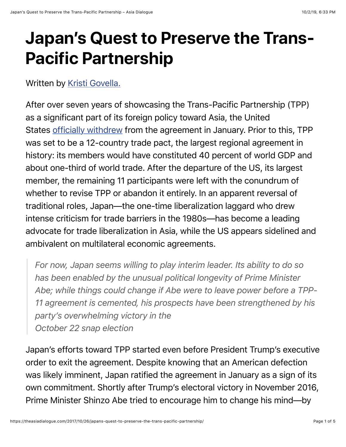## **Japan's Quest to Preserve the Trans-Pacific Partnership**

Written by [Kristi Govella.](http://kristigovella.com/)

After over seven years of showcasing the Trans-Pacific Partnership (TPP) as a significant part of its foreign policy toward Asia, the United States [officially withdrew](https://ustr.gov/about-us/policy-offices/press-office/press-releases/2017/january/US-Withdraws-From-TPP) from the agreement in January. Prior to this, TPP was set to be a 12-country trade pact, the largest regional agreement in history: its members would have constituted 40 percent of world GDP and about one-third of world trade. After the departure of the US, its largest member, the remaining 11 participants were left with the conundrum of whether to revise TPP or abandon it entirely. In an apparent reversal of traditional roles, Japan—the one-time liberalization laggard who drew intense criticism for trade barriers in the 1980s—has become a leading advocate for trade liberalization in Asia, while the US appears sidelined and ambivalent on multilateral economic agreements.

*For now, Japan seems willing to play interim leader. Its ability to do so has been enabled by the unusual political longevity of Prime Minister Abe; while things could change if Abe were to leave power before a TPP-11 agreement is cemented, his prospects have been strengthened by his party's overwhelming victory in the October 22 snap election*

Japan's efforts toward TPP started even before President Trump's executive order to exit the agreement. Despite knowing that an American defection was likely imminent, Japan ratified the agreement in January as a sign of its own commitment. Shortly after Trump's electoral victory in November 2016, Prime Minister Shinzo Abe tried to encourage him to change his mind—by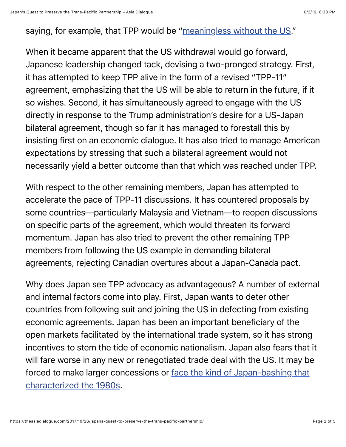## saying, for example, that TPP would be ["meaningless without the US.](https://www.reuters.com/article/us-japan-tpp-abe/japan-pm-says-tpp-trade-pact-meaningless-without-u-s-idUSKBN13G2IK)"

When it became apparent that the US withdrawal would go forward, Japanese leadership changed tack, devising a two-pronged strategy. First, it has attempted to keep TPP alive in the form of a revised "TPP-11" agreement, emphasizing that the US will be able to return in the future, if it so wishes. Second, it has simultaneously agreed to engage with the US directly in response to the Trump administration's desire for a US-Japan bilateral agreement, though so far it has managed to forestall this by insisting first on an economic dialogue. It has also tried to manage American expectations by stressing that such a bilateral agreement would not necessarily yield a better outcome than that which was reached under TPP.

With respect to the other remaining members, Japan has attempted to accelerate the pace of TPP-11 discussions. It has countered proposals by some countries—particularly Malaysia and Vietnam—to reopen discussions on specific parts of the agreement, which would threaten its forward momentum. Japan has also tried to prevent the other remaining TPP members from following the US example in demanding bilateral agreements, rejecting Canadian overtures about a Japan-Canada pact.

Why does Japan see TPP advocacy as advantageous? A number of external and internal factors come into play. First, Japan wants to deter other countries from following suit and joining the US in defecting from existing economic agreements. Japan has been an important beneficiary of the open markets facilitated by the international trade system, so it has strong incentives to stem the tide of economic nationalism. Japan also fears that it will fare worse in any new or renegotiated trade deal with the US. It may be [forced to make larger concessions or face the kind of Japan-bashing that](https://www.nytimes.com/2017/01/25/business/trump-tpp-japan-trade.html) characterized the 1980s.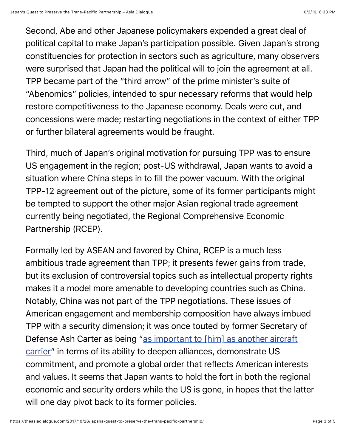Second, Abe and other Japanese policymakers expended a great deal of political capital to make Japan's participation possible. Given Japan's strong constituencies for protection in sectors such as agriculture, many observers were surprised that Japan had the political will to join the agreement at all. TPP became part of the "third arrow" of the prime minister's suite of "Abenomics" policies, intended to spur necessary reforms that would help restore competitiveness to the Japanese economy. Deals were cut, and concessions were made; restarting negotiations in the context of either TPP or further bilateral agreements would be fraught.

Third, much of Japan's original motivation for pursuing TPP was to ensure US engagement in the region; post-US withdrawal, Japan wants to avoid a situation where China steps in to fill the power vacuum. With the original TPP-12 agreement out of the picture, some of its former participants might be tempted to support the other major Asian regional trade agreement currently being negotiated, the Regional Comprehensive Economic Partnership (RCEP).

Formally led by ASEAN and favored by China, RCEP is a much less ambitious trade agreement than TPP; it presents fewer gains from trade, but its exclusion of controversial topics such as intellectual property rights makes it a model more amenable to developing countries such as China. Notably, China was not part of the TPP negotiations. These issues of American engagement and membership composition have always imbued TPP with a security dimension; it was once touted by former Secretary of [Defense Ash Carter as being "as important to \[him\] as another aircraft](https://thediplomat.com/2015/04/tpp-as-important-as-another-aircraft-carrier-us-defense-secretary/) carrier" in terms of its ability to deepen alliances, demonstrate US commitment, and promote a global order that reflects American interests and values. It seems that Japan wants to hold the fort in both the regional economic and security orders while the US is gone, in hopes that the latter will one day pivot back to its former policies.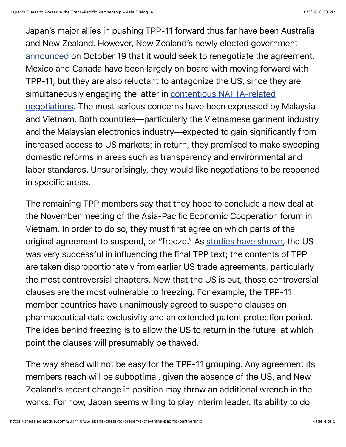Japan's major allies in pushing TPP-11 forward thus far have been Australia and New Zealand. However, New Zealand's newly elected government [announced](https://asia.nikkei.com/Politics-Economy/International-Relations/New-Zealand-s-next-leader-likely-will-seek-TPP-renegotiation) on October 19 that it would seek to renegotiate the agreement. Mexico and Canada have been largely on board with moving forward with TPP-11, but they are also reluctant to antagonize the US, since they are [simultaneously engaging the latter in contentious NAFTA-related](https://www.cnbc.com/2017/10/17/canada-mexico-to-firmly-reject-us-nafta-proposals-but-will-offer-to-keep-negotiations-going-sources.html) negotiations. The most serious concerns have been expressed by Malaysia and Vietnam. Both countries—particularly the Vietnamese garment industry and the Malaysian electronics industry—expected to gain significantly from increased access to US markets; in return, they promised to make sweeping domestic reforms in areas such as transparency and environmental and labor standards. Unsurprisingly, they would like negotiations to be reopened in specific areas.

The remaining TPP members say that they hope to conclude a new deal at the November meeting of the Asia-Pacific Economic Cooperation forum in Vietnam. In order to do so, they must first agree on which parts of the original agreement to suspend, or "freeze." As [studies have shown](http://journals.sagepub.com/doi/abs/10.1177/2053168016658919), the US was very successful in influencing the final TPP text; the contents of TPP are taken disproportionately from earlier US trade agreements, particularly the most controversial chapters. Now that the US is out, those controversial clauses are the most vulnerable to freezing. For example, the TPP-11 member countries have unanimously agreed to suspend clauses on pharmaceutical data exclusivity and an extended patent protection period. The idea behind freezing is to allow the US to return in the future, at which point the clauses will presumably be thawed.

The way ahead will not be easy for the TPP-11 grouping. Any agreement its members reach will be suboptimal, given the absence of the US, and New Zealand's recent change in position may throw an additional wrench in the works. For now, Japan seems willing to play interim leader. Its ability to do